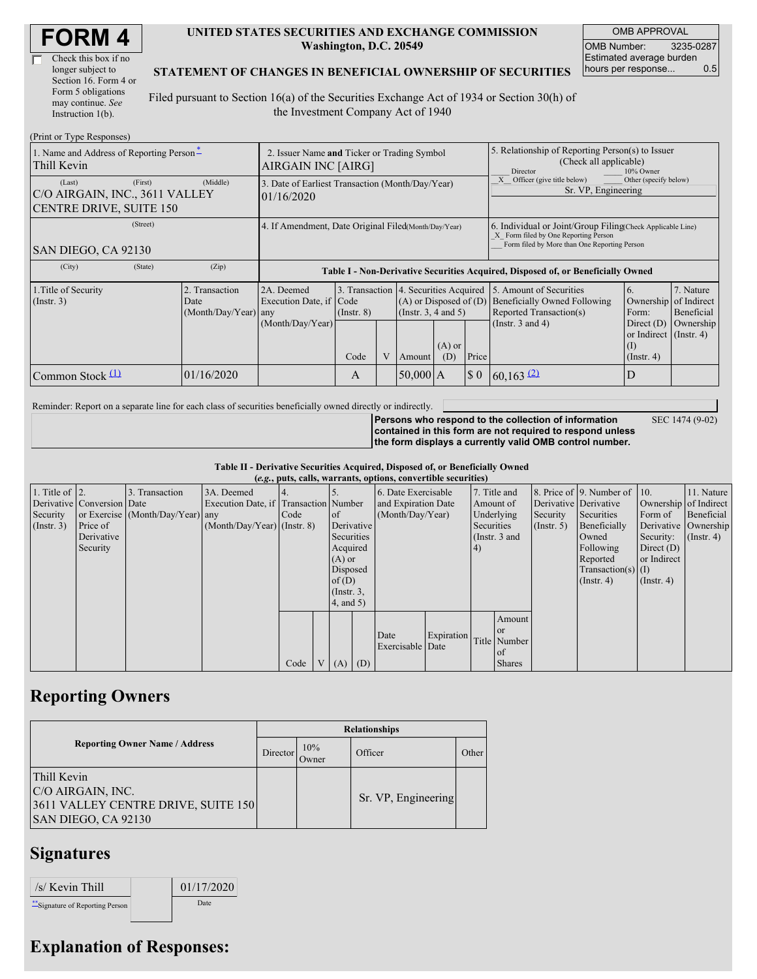| <b>FORM4</b> |
|--------------|
|--------------|

| Check this box if no  |
|-----------------------|
| longer subject to     |
| Section 16. Form 4 or |
| Form 5 obligations    |
| may continue. See     |
| Instruction 1(b).     |

#### **UNITED STATES SECURITIES AND EXCHANGE COMMISSION Washington, D.C. 20549**

OMB APPROVAL OMB Number: 3235-0287 Estimated average burden hours per response... 0.5

#### **STATEMENT OF CHANGES IN BENEFICIAL OWNERSHIP OF SECURITIES**

Filed pursuant to Section 16(a) of the Securities Exchange Act of 1934 or Section 30(h) of the Investment Company Act of 1940

| (Print or Type Responses)                                                      |                                                                                                                                                                                                            |                                                                                  |                 |   |                                                                                             |                 |                                                                                                     |                                                                                           |                                                            |                         |
|--------------------------------------------------------------------------------|------------------------------------------------------------------------------------------------------------------------------------------------------------------------------------------------------------|----------------------------------------------------------------------------------|-----------------|---|---------------------------------------------------------------------------------------------|-----------------|-----------------------------------------------------------------------------------------------------|-------------------------------------------------------------------------------------------|------------------------------------------------------------|-------------------------|
| 1. Name and Address of Reporting Person-<br>Thill Kevin                        |                                                                                                                                                                                                            | 2. Issuer Name and Ticker or Trading Symbol<br>AIRGAIN INC [AIRG]                |                 |   |                                                                                             |                 | 5. Relationship of Reporting Person(s) to Issuer<br>(Check all applicable)<br>Director<br>10% Owner |                                                                                           |                                                            |                         |
| (First)<br>(Last)<br>C/O AIRGAIN, INC., 3611 VALLEY<br>CENTRE DRIVE, SUITE 150 | (Middle)                                                                                                                                                                                                   | 3. Date of Earliest Transaction (Month/Day/Year)<br>101/16/2020                  |                 |   |                                                                                             |                 | Officer (give title below)<br>Sr. VP, Engineering                                                   | Other (specify below)                                                                     |                                                            |                         |
| (Street)<br>SAN DIEGO, CA 92130                                                | 4. If Amendment, Date Original Filed(Month/Day/Year)<br>6. Individual or Joint/Group Filing Check Applicable Line)<br>X Form filed by One Reporting Person<br>Form filed by More than One Reporting Person |                                                                                  |                 |   |                                                                                             |                 |                                                                                                     |                                                                                           |                                                            |                         |
| (State)<br>(City)                                                              | (Zip)                                                                                                                                                                                                      | Table I - Non-Derivative Securities Acquired, Disposed of, or Beneficially Owned |                 |   |                                                                                             |                 |                                                                                                     |                                                                                           |                                                            |                         |
| 1. Title of Security<br>$($ Instr. 3 $)$                                       | 2. Transaction<br>Date<br>(Month/Day/Year) any                                                                                                                                                             | 2A. Deemed<br>Execution Date, if Code                                            | $($ Instr. $8)$ |   | 3. Transaction 4. Securities Acquired<br>$(A)$ or Disposed of $(D)$<br>(Insert. 3, 4 and 5) |                 |                                                                                                     | 5. Amount of Securities<br><b>Beneficially Owned Following</b><br>Reported Transaction(s) | 6.<br>Ownership of Indirect<br>Form:                       | 7. Nature<br>Beneficial |
|                                                                                |                                                                                                                                                                                                            | (Month/Day/Year)                                                                 | Code            | V | Amount                                                                                      | $(A)$ or<br>(D) | Price                                                                                               | (Instr. $3$ and $4$ )                                                                     | Direct $(D)$<br>or Indirect (Instr. 4)<br>$($ Instr. 4 $)$ | Ownership               |
| Common Stock $(1)$                                                             | 01/16/2020                                                                                                                                                                                                 |                                                                                  | A               |   | $50,000$ A                                                                                  |                 | $\S$ 0                                                                                              | $60,163$ <sup>(2)</sup>                                                                   | D                                                          |                         |

Reminder: Report on a separate line for each class of securities beneficially owned directly or indirectly.

SEC 1474 (9-02)

**Persons who respond to the collection of information contained in this form are not required to respond unless the form displays a currently valid OMB control number.**

**Table II - Derivative Securities Acquired, Disposed of, or Beneficially Owned**

|  |  | ie II - Derivative Securities Acquireu, Disposeu 01, or Benencially Owl |  |
|--|--|-------------------------------------------------------------------------|--|
|  |  | $(e.g., puts, calls, warrants, options, convertible securities)$        |  |

| 1. Title of $\vert$ 2.<br>Security<br>(Insert. 3) | Derivative Conversion Date<br>Price of<br>Derivative<br>Security | 3. Transaction<br>or Exercise (Month/Day/Year) any | 3A. Deemed<br>Execution Date, if Transaction Number<br>$(Month/Day/Year)$ (Instr. 8) | 14.<br>Code | <sub>of</sub><br>Derivative<br>Securities<br>Acquired<br>$(A)$ or<br>Disposed<br>of $(D)$<br>$($ Instr. $3,$<br>$4$ , and 5) | $(0.8)$ path, emily wanted by operating convenience became $\frac{1}{2}$<br>6. Date Exercisable<br>and Expiration Date<br>(Month/Day/Year) |            | 7. Title and<br>Amount of<br>Underlying<br>Securities<br>(Instr. 3 and<br>4) |                                                            | Derivative Derivative<br>Security<br>(Insert, 5) | 8. Price of $\vert$ 9. Number of $\vert$ 10.<br>Securities<br>Beneficially<br>Owned<br>Following<br>Reported<br>$Transaction(s)$ (I)<br>$($ Instr. 4 $)$ | Ownership of Indirect<br>Form of<br>Security:<br>Direct $(D)$<br>or Indirect<br>$($ Instr. 4 $)$ | 11. Nature<br>Beneficial<br>Derivative Ownership<br>$($ Instr. 4) |
|---------------------------------------------------|------------------------------------------------------------------|----------------------------------------------------|--------------------------------------------------------------------------------------|-------------|------------------------------------------------------------------------------------------------------------------------------|--------------------------------------------------------------------------------------------------------------------------------------------|------------|------------------------------------------------------------------------------|------------------------------------------------------------|--------------------------------------------------|----------------------------------------------------------------------------------------------------------------------------------------------------------|--------------------------------------------------------------------------------------------------|-------------------------------------------------------------------|
|                                                   |                                                                  |                                                    |                                                                                      | Code        | V   (A)   (D)                                                                                                                | Date<br>Exercisable Date                                                                                                                   | Expiration |                                                                              | Amount<br><b>or</b><br>Title Number<br>of<br><b>Shares</b> |                                                  |                                                                                                                                                          |                                                                                                  |                                                                   |

# **Reporting Owners**

|                                                                                                | <b>Relationships</b> |              |                     |       |  |  |  |
|------------------------------------------------------------------------------------------------|----------------------|--------------|---------------------|-------|--|--|--|
| <b>Reporting Owner Name / Address</b>                                                          | Director             | 10%<br>Owner | Officer             | Other |  |  |  |
| Thill Kevin<br>C/O AIRGAIN, INC.<br>3611 VALLEY CENTRE DRIVE, SUITE 150<br>SAN DIEGO, CA 92130 |                      |              | Sr. VP, Engineering |       |  |  |  |

# **Signatures**

| /s/ Kevin Thill                  | 01/17/2020 |
|----------------------------------|------------|
| ** Signature of Reporting Person | Date       |

### **Explanation of Responses:**